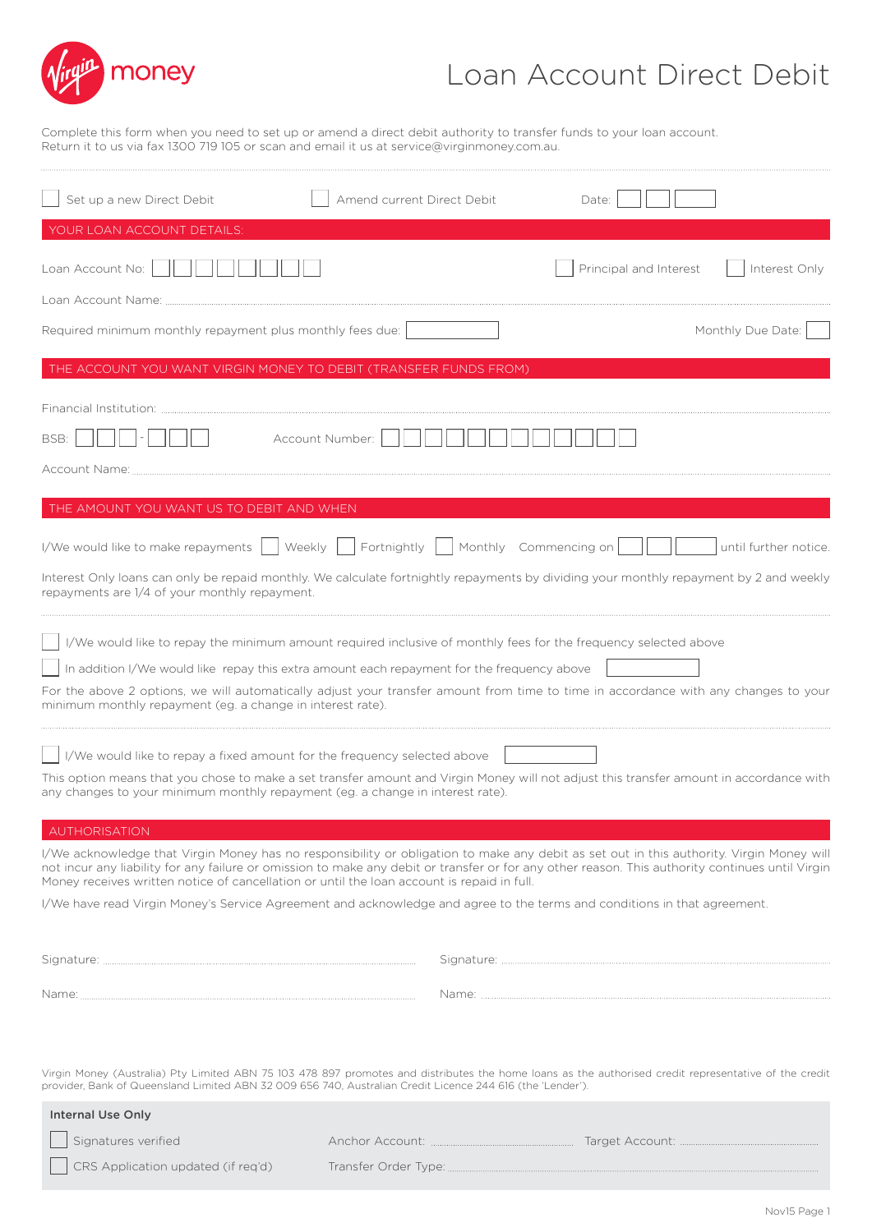

## Loan Account Direct Debit

Complete this form when you need to set up or amend a direct debit authority to transfer funds to your loan account. Return it to us via fax 1300 719 105 or scan and email it us at service@virginmoney.com.au.

| Set up a new Direct Debit                                                                                                                                                                                                                                                                                                                                                                                          | Amend current Direct Debit            | Date:                  |                       |
|--------------------------------------------------------------------------------------------------------------------------------------------------------------------------------------------------------------------------------------------------------------------------------------------------------------------------------------------------------------------------------------------------------------------|---------------------------------------|------------------------|-----------------------|
| YOUR LOAN ACCOUNT DETAILS:                                                                                                                                                                                                                                                                                                                                                                                         |                                       |                        |                       |
| Loan Account No:<br>Loan Account Name:                                                                                                                                                                                                                                                                                                                                                                             |                                       | Principal and Interest | Interest Only         |
|                                                                                                                                                                                                                                                                                                                                                                                                                    |                                       |                        |                       |
| Required minimum monthly repayment plus monthly fees due:                                                                                                                                                                                                                                                                                                                                                          |                                       |                        | Monthly Due Date:     |
| THE ACCOUNT YOU WANT VIRGIN MONEY TO DEBIT (TRANSFER FUNDS FROM)                                                                                                                                                                                                                                                                                                                                                   |                                       |                        |                       |
| Financial Institution: The Commission of the Commission of The Commission of The Commission of The Commission<br>BSB:                                                                                                                                                                                                                                                                                              | Account Number:                       |                        |                       |
| THE AMOUNT YOU WANT US TO DEBIT AND WHEN                                                                                                                                                                                                                                                                                                                                                                           |                                       |                        |                       |
| Weekly<br>I/We would like to make repayments  <br>Interest Only loans can only be repaid monthly. We calculate fortnightly repayments by dividing your monthly repayment by 2 and weekly<br>repayments are 1/4 of your monthly repayment.                                                                                                                                                                          | Fortnightly     Monthly Commencing on |                        | until further notice. |
| I/We would like to repay the minimum amount required inclusive of monthly fees for the frequency selected above<br>In addition I/We would like repay this extra amount each repayment for the frequency above<br>For the above 2 options, we will automatically adjust your transfer amount from time to time in accordance with any changes to your<br>minimum monthly repayment (eg. a change in interest rate). |                                       |                        |                       |
| I/We would like to repay a fixed amount for the frequency selected above                                                                                                                                                                                                                                                                                                                                           |                                       |                        |                       |
| This option means that you chose to make a set transfer amount and Virgin Money will not adjust this transfer amount in accordance with<br>any changes to your minimum monthly repayment (eg. a change in interest rate).                                                                                                                                                                                          |                                       |                        |                       |
| AUTHORISATION                                                                                                                                                                                                                                                                                                                                                                                                      |                                       |                        |                       |
| I/We acknowledge that Virgin Money has no responsibility or obligation to make any debit as set out in this authority. Virgin Money will<br>not incur any liability for any failure or omission to make any debit or transfer or for any other reason. This authority continues until Virgin<br>Money receives written notice of cancellation or until the loan account is repaid in full.                         |                                       |                        |                       |
| I/We have read Virgin Money's Service Agreement and acknowledge and agree to the terms and conditions in that agreement.                                                                                                                                                                                                                                                                                           |                                       |                        |                       |
|                                                                                                                                                                                                                                                                                                                                                                                                                    |                                       |                        |                       |
|                                                                                                                                                                                                                                                                                                                                                                                                                    |                                       |                        |                       |
| Virgin Money (Australia) Pty Limited ABN 75 103 478 897 promotes and distributes the home loans as the authorised credit representative of the credit<br>provider, Bank of Queensland Limited ABN 32 009 656 740, Australian Credit Licence 244 616 (the 'Lender').                                                                                                                                                |                                       |                        |                       |
| <b>Internal Use Only</b>                                                                                                                                                                                                                                                                                                                                                                                           |                                       |                        |                       |
| Signatures verified                                                                                                                                                                                                                                                                                                                                                                                                |                                       |                        |                       |
| CRS Application updated (if req'd)                                                                                                                                                                                                                                                                                                                                                                                 |                                       |                        |                       |